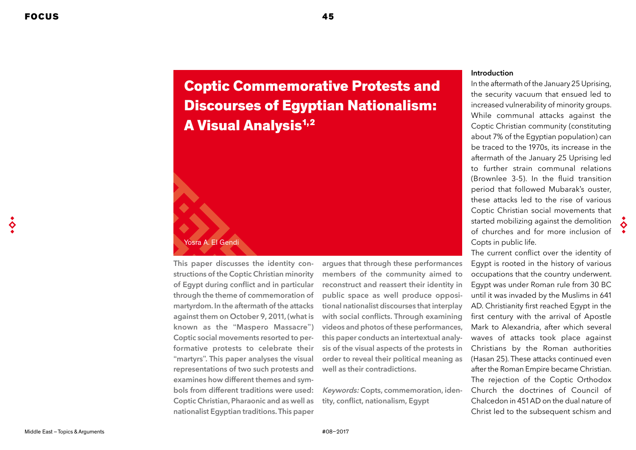# Coptic Commemorative Protests and Discourses of Egyptian Nationalism:

# Yosra A. El Gendi

This paper discusses the identity constructions of the Coptic Christian minority of Egypt during conflict and in particular through the theme of commemoration of martyrdom. In the aftermath of the attacks against them on October 9, 2011, (what is known as the "Maspero Massacre") Coptic social movements resorted to performative protests to celebrate their "martyrs". This paper analyses the visual representations of two such protests and examines how different themes and symbols from different traditions were used: Coptic Christian, Pharaonic and as well as nationalist Egyptian traditions. This paper

**A Visual Analysis<sup>1,2</sup>** 

argues that through these performances members of the community aimed to reconstruct and reassert their identity in public space as well produce oppositional nationalist discourses that interplay with social conflicts. Through examining videos and photos of these performances, this paper conducts an intertextual analysis of the visual aspects of the protests in order to reveal their political meaning as well as their contradictions.

Keywords: Copts, commemoration, identity, conflict, nationalism, Egypt

### Introduction

In the aftermath of the January 25 Uprising, the security vacuum that ensued led to increased vulnerability of minority groups. While communal attacks against the Coptic Christian community (constituting about 7% of the Egyptian population) can be traced to the 1970s, its increase in the aftermath of the January 25 Uprising led to further strain communal relations (Brownlee 3-5). In the fluid transition period that followed Mubarak's ouster, these attacks led to the rise of various Coptic Christian social movements that started mobilizing against the demolition of churches and for more inclusion of Copts in public life.

The current conflict over the identity of Egypt is rooted in the history of various occupations that the country underwent. Egypt was under Roman rule from 30 BC until it was invaded by the Muslims in 641 AD. Christianity first reached Egypt in the first century with the arrival of Apostle Mark to Alexandria, after which several waves of attacks took place against Christians by the Roman authorities (Hasan 25). These attacks continued even after the Roman Empire became Christian. The rejection of the Coptic Orthodox Church the doctrines of Council of Chalcedon in 451 AD on the dual nature of Christ led to the subsequent schism and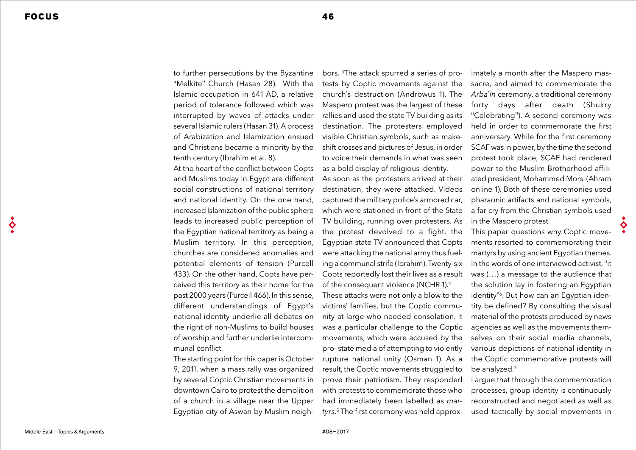to further persecutions by the Byzantine "Melkite" Church (Hasan 28). With the Islamic occupation in 641 AD, a relative period of tolerance followed which was interrupted by waves of attacks under several Islamic rulers (Hasan 31). A process of Arabization and Islamization ensued and Christians became a minority by the tenth century (Ibrahim et al. 8).

At the heart of the conflict between Copts and Muslims today in Egypt are different social constructions of national territory and national identity. On the one hand, increased Islamization of the public sphere leads to increased public perception of the Egyptian national territory as being a Muslim territory. In this perception, churches are considered anomalies and potential elements of tension (Purcell 433). On the other hand, Copts have perceived this territory as their home for the past 2000 years (Purcell 466). In this sense, different understandings of Egypt's national identity underlie all debates on the right of non-Muslims to build houses of worship and further underlie intercommunal conflict.

The starting point for this paper is October 9, 2011, when a mass rally was organized by several Coptic Christian movements in downtown Cairo to protest the demolition of a church in a village near the Upper Egyptian city of Aswan by Muslim neigh-

bors. 3The attack spurred a series of protests by Coptic movements against the church's destruction (Androwus 1). The Maspero protest was the largest of these rallies and used the state TV building as its destination. The protesters employed visible Christian symbols, such as makeshift crosses and pictures of Jesus, in order to voice their demands in what was seen as a bold display of religious identity. As soon as the protesters arrived at their

destination, they were attacked. Videos captured the military police's armored car, which were stationed in front of the State TV building, running over protesters. As the protest devolved to a fight, the Egyptian state TV announced that Copts were attacking the national army thus fueling a communal strife (Ibrahim). Twenty-six Copts reportedly lost their lives as a result of the consequent violence (NCHR 1).4

These attacks were not only a blow to the victims' families, but the Coptic community at large who needed consolation. It was a particular challenge to the Coptic movements, which were accused by the pro- state media of attempting to violently rupture national unity (Osman 1). As a result, the Coptic movements struggled to prove their patriotism. They responded with protests to commemorate those who had immediately been labelled as *martyrs*. 5 The first ceremony was held approximately a month after the Maspero massacre, and aimed to commemorate the Arbaʿīn ceremony, a traditional ceremony forty days after death (Shukry "Celebrating"). A second ceremony was held in order to commemorate the first anniversary. While for the first ceremony SCAF was in power, by the time the second protest took place, SCAF had rendered power to the Muslim Brotherhood affiliated president, Mohammed Morsi (Ahram online 1). Both of these ceremonies used pharaonic artifacts and national symbols, a far cry from the Christian symbols used in the Maspero protest.

This paper questions why Coptic movements resorted to commemorating their martyrs by using ancient Egyptian themes. In the words of one interviewed activist, "it was (…) a message to the audience that the solution lay in fostering an Egyptian identity"<sup>6</sup>. But how can an Egyptian identity be defined? By consulting the visual material of the protests produced by news agencies as well as the movements themselves on their social media channels, various depictions of national identity in the Coptic commemorative protests will be analyzed.7

I argue that through the commemoration processes, group identity is continuously reconstructed and negotiated as well as used tactically by social movements in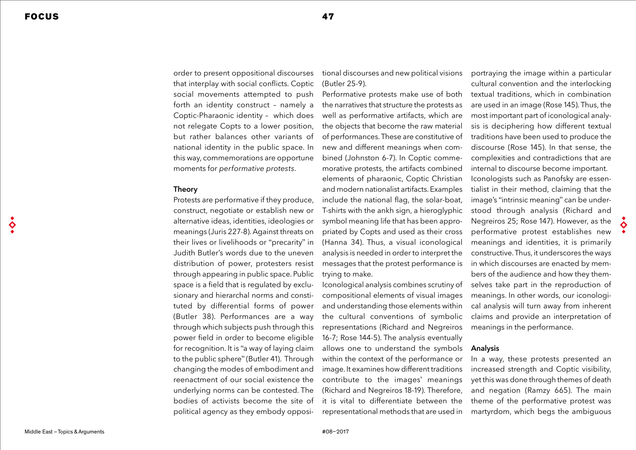order to present oppositional discourses that interplay with social conflicts. Coptic social movements attempted to push forth an identity construct – namely a Coptic-Pharaonic identity – which does not relegate Copts to a lower position, but rather balances other variants of national identity in the public space. In this way, commemorations are opportune moments for *performative protests*.

#### Theory

Protests are performative if they produce, construct, negotiate or establish new or alternative ideas, identities, ideologies or meanings (Juris 227-8). Against threats on their lives or livelihoods or "precarity" in Judith Butler's words due to the uneven distribution of power, protesters resist through appearing in public space. Public space is a field that is regulated by exclusionary and hierarchal norms and constituted by differential forms of power (Butler 38). Performances are a way through which subjects push through this power field in order to become eligible for recognition. It is "a way of laying claim to the public sphere" (Butler 41). Through changing the modes of embodiment and reenactment of our social existence the underlying norms can be contested. The bodies of activists become the site of political agency as they embody oppositional discourses and new political visions (Butler 25-9).

Performative protests make use of both the narratives that structure the protests as well as performative artifacts, which are the objects that become the raw material of performances. These are constitutive of new and different meanings when combined (Johnston 6-7). In Coptic commemorative protests, the artifacts combined elements of pharaonic, Coptic Christian and modern nationalist artifacts. Examples include the national flag, the solar-boat, T-shirts with the ankh sign, a hieroglyphic symbol meaning life that has been appropriated by Copts and used as their cross (Hanna 34). Thus, a visual iconological analysis is needed in order to interpret the messages that the protest performance is trying to make.

Iconological analysis combines scrutiny of compositional elements of visual images and understanding those elements within the cultural conventions of symbolic representations (Richard and Negreiros 16-7; Rose 144-5). The analysis eventually allows one to understand the symbols within the context of the performance or image. It examines how different traditions contribute to the images' meanings (Richard and Negreiros 18-19). Therefore, it is vital to differentiate between the representational methods that are used in

portraying the image within a particular cultural convention and the interlocking textual traditions, which in combination are used in an image (Rose 145). Thus, the most important part of iconological analysis is deciphering how different textual traditions have been used to produce the discourse (Rose 145). In that sense, the complexities and contradictions that are internal to discourse become important. Iconologists such as Panofsky are essentialist in their method, claiming that the image's "intrinsic meaning" can be understood through analysis (Richard and Negreiros 25; Rose 147). However, as the performative protest establishes new meanings and identities, it is primarily constructive. Thus, it underscores the ways in which discourses are enacted by members of the audience and how they themselves take part in the reproduction of meanings. In other words, our iconological analysis will turn away from inherent claims and provide an interpretation of meanings in the performance.

#### Analysis

In a way, these protests presented an increased strength and Coptic visibility, yet this was done through themes of death and negation (Ramzy 665). The main theme of the performative protest was martyrdom, which begs the ambiguous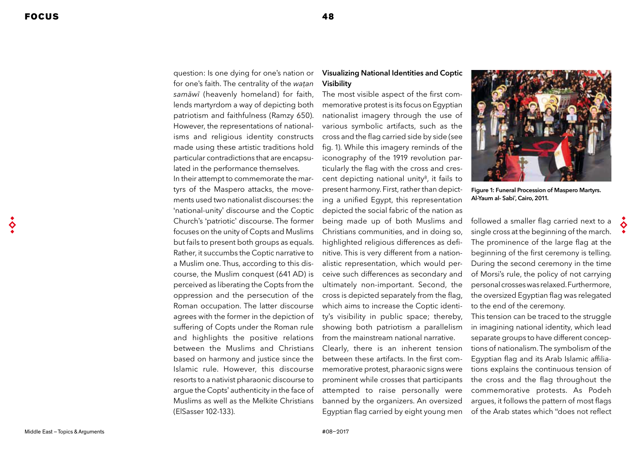question: Is one dying for one's nation or for one's faith. The centrality of the watan samāwī (heavenly homeland) for faith, lends martyrdom a way of depicting both patriotism and faithfulness (Ramzy 650). However, the representations of nationalisms and religious identity constructs made using these artistic traditions hold particular contradictions that are encapsulated in the performance themselves.

In their attempt to commemorate the martyrs of the Maspero attacks, the movements used two nationalist discourses: the 'national-unity' discourse and the Coptic Church's 'patriotic' discourse. The former focuses on the unity of Copts and Muslims but fails to present both groups as equals. Rather, it succumbs the Coptic narrative to a Muslim one. Thus, according to this discourse, the Muslim conquest (641 AD) is perceived as liberating the Copts from the oppression and the persecution of the Roman occupation. The latter discourse agrees with the former in the depiction of suffering of Copts under the Roman rule and highlights the positive relations between the Muslims and Christians based on harmony and justice since the Islamic rule. However, this discourse resorts to a nativist pharaonic discourse to argue the Copts' authenticity in the face of Muslims as well as the Melkite Christians (ElSasser 102-133).

# **Visualizing National Identities and Coptic** Visibility

The most visible aspect of the first commemorative protest is its focus on Egyptian nationalist imagery through the use of various symbolic artifacts, such as the cross and the flag carried side by side (see fig. 1). While this imagery reminds of the iconography of the 1919 revolution particularly the flag with the cross and crescent depicting national unity<sup>8</sup>, it fails to present harmony. First, rather than depicting a unified Egypt, this representation depicted the social fabric of the nation as being made up of both Muslims and Christians communities, and in doing so, highlighted religious differences as definitive. This is very different from a nationalistic representation, which would perceive such differences as secondary and ultimately non-important. Second, the cross is depicted separately from the flag, which aims to increase the Coptic identity's visibility in public space; thereby, showing both patriotism a parallelism from the mainstream national narrative. Clearly, there is an inherent tension between these artifacts. In the first commemorative protest, pharaonic signs were prominent while crosses that participants attempted to raise personally were banned by the organizers. An oversized Egyptian flag carried by eight young men



Figure 1: Funeral Procession of Maspero Martyrs. Al-Yaum al- Sabi', Cairo, 2011.

followed a smaller flag carried next to a single cross at the beginning of the march. The prominence of the large flag at the beginning of the first ceremony is telling. During the second ceremony in the time of Morsi's rule, the policy of not carrying personal crosses was relaxed. Furthermore, the oversized Egyptian flag was relegated to the end of the ceremony.

This tension can be traced to the struggle in imagining national identity, which lead separate groups to have different conceptions of nationalism. The symbolism of the Eqyptian flag and its Arab Islamic affiliations explains the continuous tension of the cross and the flag throughout the commemorative protests. As Podeh argues, it follows the pattern of most flags of the Arab states which "does not reflect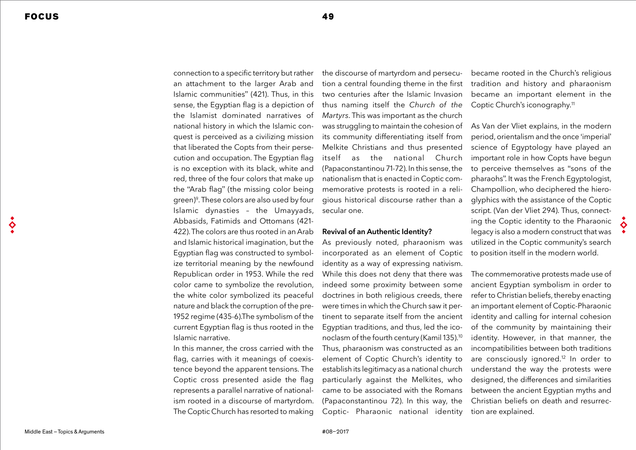connection to a specific territory but rather an attachment to the larger Arab and Islamic communities" (421). Thus, in this sense, the Egyptian flag is a depiction of the Islamist dominated narratives of national history in which the Islamic conquest is perceived as a civilizing mission that liberated the Copts from their persecution and occupation. The Egyptian flag is no exception with its black, white and red, three of the four colors that make up the "Arab flag" (the missing color being green)9. These colors are also used by four Islamic dynasties – the Umayyads, Abbasids, Fatimids and Ottomans (421- 422). The colors are thus rooted in an Arab and Islamic historical imagination, but the Egyptian flag was constructed to symbolize territorial meaning by the newfound Republican order in 1953. While the red color came to symbolize the revolution, the white color symbolized its peaceful nature and black the corruption of the pre-1952 regime (435-6).The symbolism of the current Egyptian flag is thus rooted in the Islamic narrative.

In this manner, the cross carried with the flag, carries with it meanings of coexistence beyond the apparent tensions. The Coptic cross presented aside the flag represents a parallel narrative of nationalism rooted in a discourse of martyrdom. The Coptic Church has resorted to making the discourse of martyrdom and persecution a central founding theme in the first two centuries after the Islamic Invasion thus naming itself the *Church of the Martyrs*. This was important as the church was struggling to maintain the cohesion of its community differentiating itself from Melkite Christians and thus presented itself as the national Church (Papaconstantinou 71-72). In this sense, the nationalism that is enacted in Coptic commemorative protests is rooted in a religious historical discourse rather than a secular one.

#### Revival of an Authentic Identity?

As previously noted, pharaonism was incorporated as an element of Coptic identity as a way of expressing nativism. While this does not deny that there was indeed some proximity between some doctrines in both religious creeds, there were times in which the Church saw it pertinent to separate itself from the ancient Egyptian traditions, and thus, led the iconoclasm of the fourth century (Kamil 135).10 Thus, pharaonism was constructed as an element of Coptic Church's identity to establish its legitimacy as a national church particularly against the Melkites, who came to be associated with the Romans (Papaconstantinou 72). In this way, the Coptic- Pharaonic national identity

became rooted in the Church's religious tradition and history and pharaonism became an important element in the Coptic Church's iconography.11

As Van der Vliet explains, in the modern period, orientalism and the once 'imperial' science of Egyptology have played an important role in how Copts have begun to perceive themselves as "sons of the pharaohs". It was the French Egyptologist, Champollion, who deciphered the hieroglyphics with the assistance of the Coptic script. (Van der Vliet 294). Thus, connecting the Coptic identity to the Pharaonic legacy is also a modern construct that was utilized in the Coptic community's search to position itself in the modern world.

The commemorative protests made use of ancient Egyptian symbolism in order to refer to Christian beliefs, thereby enacting an important element of Coptic-Pharaonic identity and calling for internal cohesion of the community by maintaining their identity. However, in that manner, the incompatibilities between both traditions are consciously ignored.<sup>12</sup> In order to understand the way the protests were designed, the differences and similarities between the ancient Egyptian myths and Christian beliefs on death and resurrection are explained.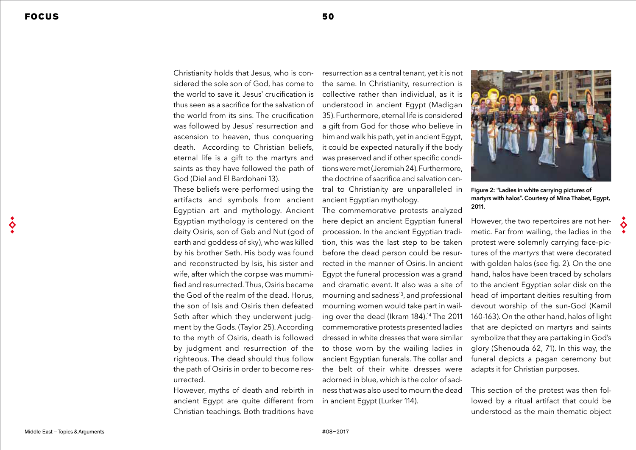Christianity holds that Jesus, who is considered the sole son of God, has come to the world to save it Jesus' crucification is thus seen as a sacrifice for the salvation of the world from its sins. The crucification was followed by Jesus' resurrection and ascension to heaven, thus conquering death. According to Christian beliefs, eternal life is a gift to the martyrs and saints as they have followed the path of God (Diel and El Bardohani 13).

These beliefs were performed using the artifacts and symbols from ancient Egyptian art and mythology. Ancient Egyptian mythology is centered on the deity Osiris, son of Geb and Nut (god of earth and goddess of sky), who was killed by his brother Seth. His body was found and reconstructed by Isis, his sister and wife, after which the corpse was mummified and resurrected. Thus, Osiris became the God of the realm of the dead. Horus, the son of Isis and Osiris then defeated Seth after which they underwent judgment by the Gods. (Taylor 25). According to the myth of Osiris, death is followed by judgment and resurrection of the righteous. The dead should thus follow the path of Osiris in order to become resurrected.

However, myths of death and rebirth in ancient Egypt are quite different from Christian teachings. Both traditions have

resurrection as a central tenant, yet it is not the same. In Christianity, resurrection is collective rather than individual, as it is understood in ancient Egypt (Madigan 35). Furthermore, eternal life is considered a gift from God for those who believe in him and walk his path, yet in ancient Egypt, it could be expected naturally if the body was preserved and if other specific conditions were met (Jeremiah 24). Furthermore, the doctrine of sacrifice and salvation central to Christianity are unparalleled in ancient Egyptian mythology.

The commemorative protests analyzed here depict an ancient Egyptian funeral procession. In the ancient Egyptian tradition, this was the last step to be taken before the dead person could be resurrected in the manner of Osiris. In ancient Egypt the funeral procession was a grand and dramatic event. It also was a site of mourning and sadness<sup>13</sup>, and professional mourning women would take part in wailing over the dead (Ikram 184).<sup>14</sup> The 2011 commemorative protests presented ladies dressed in white dresses that were similar to those worn by the wailing ladies in ancient Egyptian funerals. The collar and the belt of their white dresses were adorned in blue, which is the color of sadness that was also used to mourn the dead in ancient Egypt (Lurker 114).



Figure 2: "Ladies in white carrying pictures of martyrs with halos". Courtesy of Mina Thabet, Eqypt, 2011.

However, the two repertoires are not hermetic. Far from wailing, the ladies in the protest were solemnly carrying face-pictures of the *martyrs* that were decorated with golden halos (see fig. 2). On the one hand, halos have been traced by scholars to the ancient Egyptian solar disk on the head of important deities resulting from devout worship of the sun-God (Kamil 160-163). On the other hand, halos of light that are depicted on martyrs and saints symbolize that they are partaking in God's glory (Shenouda 62, 71). In this way, the funeral depicts a pagan ceremony but adapts it for Christian purposes.

This section of the protest was then followed by a ritual artifact that could be understood as the main thematic object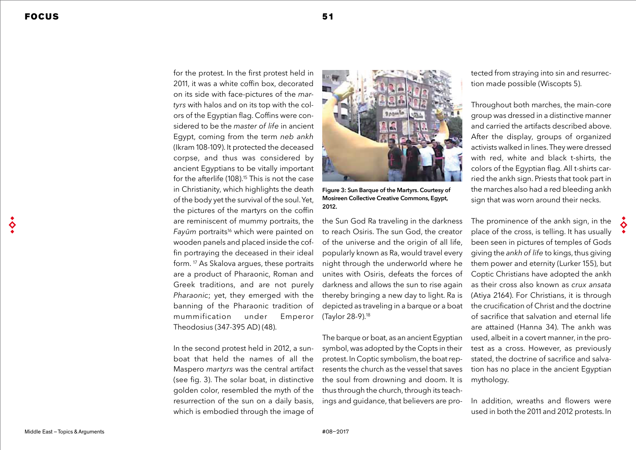for the protest. In the first protest held in 2011, it was a white coffin box, decorated on its side with face-pictures of the *martyrs* with halos and on its top with the colors of the Eqyptian flag. Coffins were considered to be the *master of life* in ancient Egypt, coming from the term neb ankh (Ikram 108-109). It protected the deceased corpse, and thus was considered by ancient Egyptians to be vitally important for the afterlife (108).<sup>15</sup> This is not the case in Christianity, which highlights the death of the body yet the survival of the soul. Yet, the pictures of the martyrs on the coffin are reminiscent of mummy portraits, the Fayūm portraits<sup>16</sup> which were painted on wooden panels and placed inside the coffin portraying the deceased in their ideal form. 17 As Skalova argues, these portraits are a product of Pharaonic, Roman and Greek traditions, and are not purely Pharaonic; yet, they emerged with the banning of the Pharaonic tradition of mummification under Emperor Theodosius (347-395 AD) (48).

In the second protest held in 2012, a sunboat that held the names of all the Maspero *martyrs* was the central artifact (see fig. 3). The solar boat, in distinctive golden color, resembled the myth of the resurrection of the sun on a daily basis, which is embodied through the image of



Figure 3: Sun Barque of the Martyrs. Courtesy of Mosireen Collective Creative Commons, Eqypt, 2012.

the Sun God Ra traveling in the darkness to reach Osiris. The sun God, the creator of the universe and the origin of all life, popularly known as Ra, would travel every night through the underworld where he unites with Osiris, defeats the forces of darkness and allows the sun to rise again thereby bringing a new day to light. Ra is (Taylor 28-9).18

The barque or boat, as an ancient Egyptian symbol, was adopted by the Copts in their protest. In Coptic symbolism, the boat represents the church as the vessel that saves the soul from drowning and doom. It is thus through the church, through its teachings and guidance, that believers are protected from straying into sin and resurrection made possible (Wiscopts 5).

Throughout both marches, the main-core group was dressed in a distinctive manner and carried the artifacts described above. After the display, groups of organized activists walked in lines. They were dressed with red, white and black t-shirts, the colors of the Eqyptian flag. All t-shirts carried the ankh sign. Priests that took part in the marches also had a red bleeding ankh sign that was worn around their necks.

depicted as traveling in a barque or a boat the crucification of Christ and the doctrine The prominence of the ankh sign, in the place of the cross, is telling. It has usually been seen in pictures of temples of Gods giving the ankh of life to kings, thus giving them power and eternity (Lurker 155), but Coptic Christians have adopted the ankh as their cross also known as crux ansata (Atiya 2164). For Christians, it is through of sacrifice that salvation and eternal life are attained (Hanna 34). The ankh was used, albeit in a covert manner, in the protest as a cross. However, as previously stated, the doctrine of sacrifice and salvation has no place in the ancient Egyptian mythology.

> In addition, wreaths and flowers were used in both the 2011 and 2012 protests. In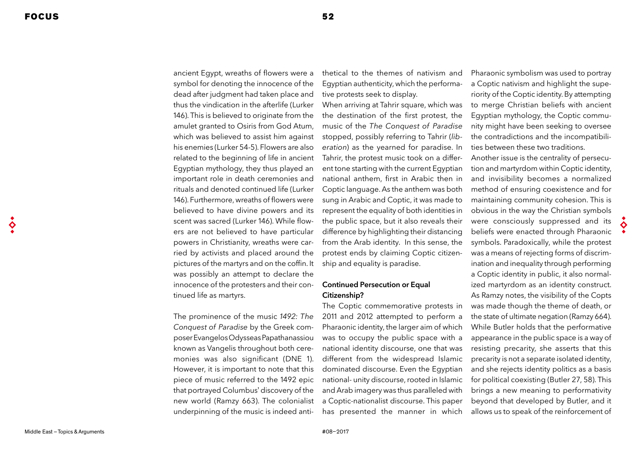ancient Egypt, wreaths of flowers were a symbol for denoting the innocence of the dead after judgment had taken place and thus the vindication in the afterlife (Lurker 146). This is believed to originate from the amulet granted to Osiris from God Atum, which was believed to assist him against his enemies (Lurker 54-5). Flowers are also related to the beginning of life in ancient Egyptian mythology, they thus played an important role in death ceremonies and rituals and denoted continued life (Lurker 146). Furthermore, wreaths of flowers were believed to have divine powers and its scent was sacred (Lurker 146). While flowers are not believed to have particular powers in Christianity, wreaths were carried by activists and placed around the pictures of the martyrs and on the coffin. It was possibly an attempt to declare the innocence of the protesters and their continued life as martyrs.

The prominence of the music *1492: The*  Conquest of Paradise by the Greek composer Evangelos Odysseas Papathanassiou known as Vangelis throughout both ceremonies was also significant (DNE 1). However, it is important to note that this piece of music referred to the 1492 epic that portrayed Columbus' discovery of the new world (Ramzy 663). The colonialist underpinning of the music is indeed antithetical to the themes of nativism and Egyptian authenticity, which the performative protests seek to display.

When arriving at Tahrir square, which was the destination of the first protest, the music of the The Conquest of Paradise stopped, possibly referring to Tahrir (*lib*eration) as the yearned for paradise. In Tahrir, the protest music took on a different tone starting with the current Egyptian national anthem, first in Arabic then in Coptic language. As the anthem was both sung in Arabic and Coptic, it was made to represent the equality of both identities in the public space, but it also reveals their difference by highlighting their distancing from the Arab identity. In this sense, the protest ends by claiming Coptic citizenship and equality is paradise.

# Continued Persecution or Equal Citizenship?

The Coptic commemorative protests in 2011 and 2012 attempted to perform a Pharaonic identity, the larger aim of which was to occupy the public space with a national identity discourse, one that was different from the widespread Islamic dominated discourse. Even the Egyptian national- unity discourse, rooted in Islamic and Arab imagery was thus paralleled with a Coptic-nationalist discourse. This paper has presented the manner in which

Pharaonic symbolism was used to portray a Coptic nativism and highlight the superiority of the Coptic identity. By attempting to merge Christian beliefs with ancient Egyptian mythology, the Coptic community might have been seeking to oversee the contradictions and the incompatibilities between these two traditions.

Another issue is the centrality of persecution and martyrdom within Coptic identity, and invisibility becomes a normalized method of ensuring coexistence and for maintaining community cohesion. This is obvious in the way the Christian symbols were consciously suppressed and its beliefs were enacted through Pharaonic symbols. Paradoxically, while the protest was a means of rejecting forms of discrimination and inequality through performing a Coptic identity in public, it also normalized martyrdom as an identity construct. As Ramzy notes, the visibility of the Copts was made though the theme of death, or the state of ultimate negation (Ramzy 664). While Butler holds that the performative appearance in the public space is a way of resisting precarity, she asserts that this precarity is not a separate isolated identity, and she rejects identity politics as a basis for political coexisting (Butler 27, 58). This brings a new meaning to performativity beyond that developed by Butler, and it allows us to speak of the reinforcement of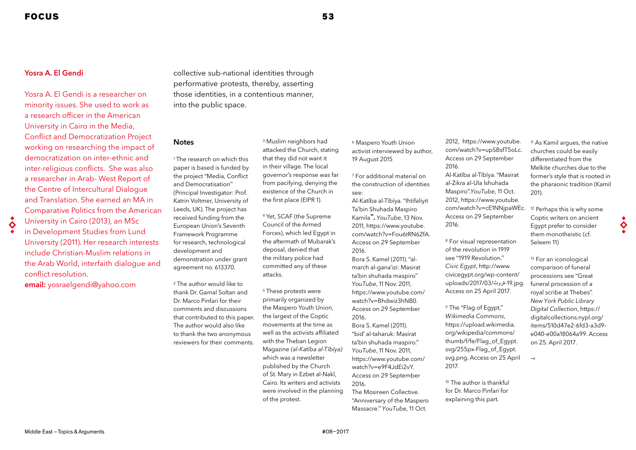## Yosra A. El Gendi

Yosra A. El Gendi is a researcher on minority issues. She used to work as a research officer in the American University in Cairo in the Media, Conflict and Democratization Project working on researching the impact of democratization on inter-ethnic and inter-religious conflicts. She was also a researcher in Arab- West Report of the Centre of Intercultural Dialogue and Translation. She earned an MA in Comparative Politics from the American University in Cairo (2013), an MSc

in Development Studies from Lund University (2011). Her research interests include Christian-Muslim relations in the Arab World, interfaith dialogue and conflict resolution.

email: yosraelgendi@yahoo.com

collective sub-national identities through performative protests, thereby, asserting those identities, in a contentious manner, into the public space.

#### **Notes**

1 The research on which this paper is based is funded by the project "Media, Conflict and Democratisation" (Principal Investigator: Prof. Katrin Voltmer, University of Leeds, UK). The project has received funding from the European Union's Seventh Framework Programme for research, technological development and demonstration under grant agreement no. 613370.

2 The author would like to thank Dr. Gamal Soltan and Dr. Marco Pinfari for their comments and discussions that contributed to this paper. The author would also like to thank the two anonymous reviewers for their comments.

3 Muslim neighbors had attacked the Church, stating that they did not want it in their village. The local governor's response was far from pacifying, denying the existence of the Church in the first place (EIPR 1).

4 Yet, SCAF (the Supreme Council of the Armed Forces), which led Egypt in the aftermath of Mubarak's deposal, denied that the military police had committed any of these attacks.

5 These protests were primarily organized by the Maspero Youth Union, the largest of the Coptic movements at the time as well as the activists affiliated with the Theban Legion Magazine (al-Katība al-Tībīya) which was a newsletter published by the Church of St. Mary in Ezbet al-Nakl, Cairo. Its writers and activists were involved in the planning of the protest.

<sup>6</sup> Maspero Youth Union activist interviewed by author, 19 August 2015

7 For additional material on the construction of identities see:

Al-Katība al-Tībīya. "Ihtifaliyit Ta'bin Shuhada Maspiro Kamila". *YouTube*, 13 Nov. 2011, https://www.youtube. com/watch?v=Fou6tRN6ZfA. Access on 29 September 2016. Bora S. Kamel (2011). "al-

march al-gana'izi: Masirat ta'bin shuhada maspiro" *YouTube*, 11 Nov. 2011, https://www.youtube.com/ watch?v=Bhdwiz3hNB0. Access on 29 September 2016.

Bora S. Kamel (2011). "bid' al-taharuk: Masirat ta'bin shuhada maspiro." *YouTube*, 11 Nov. 2011, https://www.youtube.com/ watch?v=e9F4JdEi2vY. Access on 29 September 2016.

The Mosireen Collective. "Anniversary of the Maspero Massacre." *YouTube*, 11 Oct.

2012, https://www.youtube. com/watch?v=upSBsfT5oLc. Access on 29 September 2016. Al-Katība al-Tībīya. "Masirat al-Zikra al-Ula lshuhada Maspiro".*YouTube*, 11 Oct. 2012, https://www.youtube. com/watch?v=cE1NNjpaWEc. Access on 29 September 2016.

<sup>8</sup> For visual representation of the revolution in 1919 see "1919 Revolution." *Civic Egypt*, http://www. civicegypt.org/wp-content/ uploads/2017/03/ةروث-19.jpg. Access on 25 April 2017.

<sup>9</sup> The "Flag of Egypt," Wikimedia Commons, https://upload.wikimedia. org/wikipedia/commons/ thumb/f/fe/Flag\_of\_Egypt. svg/255px-Flag\_of\_Egypt. svg.png. Access on 25 April 2017.

<sup>10</sup> The author is thankful for Dr. Marco Pinfari for explaining this part.

<sup>11</sup> As Kamil argues, the native churches could be easily differentiated from the Melkite churches due to the former's style that is rooted in the pharaonic tradition (Kamil 201).

<sup>12</sup> Perhaps this is why some Coptic writers on ancient Egypt prefer to consider them monotheistic (cf. Seleem 11)

<sup>13</sup> For an iconological comparison of funeral processions see "Great funeral procession of a royal scribe at Thebes". New York Public Library Digital Collection, https:// digitalcollections.nypl.org/ items/510d47e2-6fd3-a3d9 e040-e00a18064a99. Access on 25. April 2017.

 $\rightarrow$ 

♦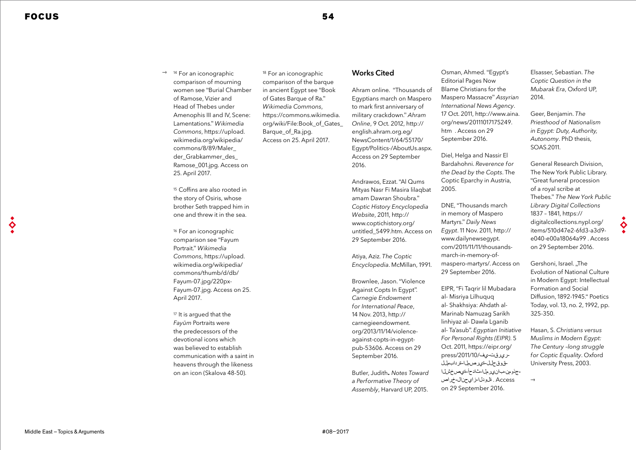♦

<sup>14</sup> For an iconographic comparison of mourning women see "Burial Chamber of Ramose, Vizier and Head of Thebes under Amenophis III and IV, Scene: Lamentations." Wikimedia Commons, https://upload. wikimedia.org/wikipedia/ commons/8/89/Maler\_ der Grabkammer des Ramose\_001.jpg. Access on 25. April 2017.  $\rightarrow$ 

<sup>15</sup> Coffins are also rooted in the story of Osiris, whose brother Seth trapped him in one and threw it in the sea.

<sup>16</sup> For an iconographic comparison see "Fayum Portrait." Wikimedia Commons, https://upload. wikimedia.org/wikipedia/ commons/thumb/d/db/ Fayum-07.jpg/220px-Fayum-07.jpg. Access on 25. April 2017.

<sup>17</sup> It is argued that the Fayūm Portraits were the predecessors of the devotional icons which was believed to establish communication with a saint in heavens through the likeness on an icon (Skalova 48-50).

<sup>18</sup> For an iconographic comparison of the barque in ancient Egypt see "Book of Gates Barque of Ra." Wikimedia Commons, https://commons.wikimedia. org/wiki/File:Book\_of\_Gates\_ Barque of Ra.jpg. Access on 25. April 2017.

# Works Cited

Ahram online. "Thousands of Egyptians march on Maspero to mark first anniversary of military crackdown." *Ahram*  Online, 9 Oct. 2012, http:// english.ahram.org.eg/ NewsContent/1/64/55170/ Egypt/Politics-/AboutUs.aspx. Access on 29 September 2016.

Andrawos, Ezzat. "Al Qums Mityas Nasr Fi Masira lilaqbat amam Dawran Shoubra." Coptic History Encyclopedia *Website*, 2011, http:// www.coptichistory.org/ untitled\_5499.htm. Access on 29 September 2016.

Atiya, Aziz. *The Coptic*  Encyclopedia. McMillan, 1991.

Brownlee, Jason. "Violence Against Copts In Egypt". Carnegie Endowment for International Peace, 14 Nov. 2013, http:// carnegieendowment. org/2013/11/14/violenceagainst-copts-in-egyptpub-53606. Access on 29 September 2016.

Butler, Judith. Notes Toward *a Performative Theory of Assembly*, Harvard UP, 2015.

Osman, Ahmed. "Egypt's Editorial Pages Now Blame Christians for the Maspero Massacre" Assyrian International News Agency. 17 Oct. 2011, http://www.aina. org/news/20111017175249. htm . Access on 29 September 2016.

Diel, Helga and Nassir El Bardahohni. Reverence for the Dead by the Copts. The Coptic Eparchy in Austria, 2005.

DNE, "Thousands march in memory of Maspero Martyrs." *Daily News Egypt*. 11 Nov. 2011, http:// www.dailynewsegypt. com/2011/11/11/thousandsmarch-in-memory-ofmaspero-martyrs/. Access on 29 September 2016.

EIPR, "Fi Taqrir lil Mubadara al- Misriya Lilhuquq al- Shakhsiya: Ahdath al-Marinab Namuzag Sarikh linhiyaz al- Dawla Lganib al- Ta'asub". Egyptian Initiative For Personal Rights (EIPR). 5 Oct. 2011, https://eipr.org/ Access . ةلودلا-زايحنال-خراص-جذومن-بانيرملا-ثادحأ-ةيصخشلا-قوقحلل-ةيرصملا-ةردابملل-ريرقت-يف/2011/10/press on 29 September 2016.

Elsasser, Sebastian. *The*  Coptic Question in the Mubarak Era, Oxford UP, 2014.

Geer, Benjamin. *The*  Priesthood of Nationalism in Egypt: Duty, Authority, Autonomy. PhD thesis, SOAS.2011.

General Research Division, The New York Public Library. "Great funeral procession of a royal scribe at Thebes." The New York Public Library Digital Collections 1837 – 1841, https:// digitalcollections.nypl.org/ items/510d47e2-6fd3-a3d9 e040-e00a18064a99 . Access on 29 September 2016.

♦

Gershoni, Israel, ..The Evolution of National Culture in Modern Egypt: Intellectual Formation and Social Diffusion, 1892-1945." Poetics Today, vol. 13, no. 2, 1992, pp. 325-350.

Hasan, S. Christians versus Muslims in Modern Egypt: The Century –long struggle for Coptic Equality. Oxford University Press, 2003.

 $\rightarrow$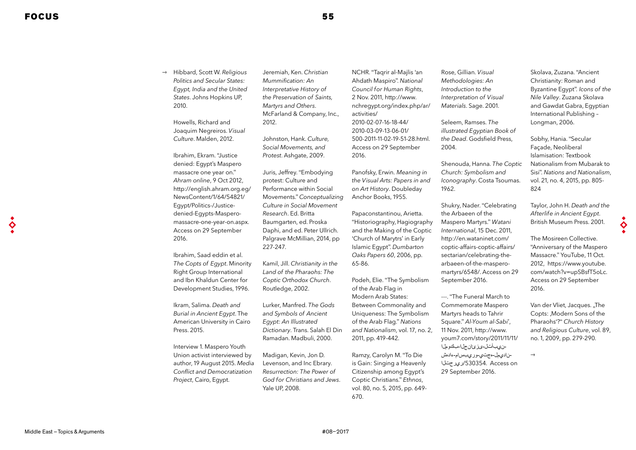Hibbard, Scott W. *Religious*  Politics and Secular States: Egypt, India and the United States. Johns Hopkins UP, 2010.  $\rightarrow$ 

> Howells, Richard and Joaquim Negreiros. *Visual Culture*. Malden, 2012.

Ibrahim, Ekram. "Justice denied: Egypt's Maspero massacre one year on." Ahram online, 9 Oct 2012, http://english.ahram.org.eg/ NewsContent/1/64/54821/ Egypt/Politics-/Justicedenied-Egypts-Masperomassacre-one-year-on.aspx. Access on 29 September 2016.

Ibrahim, Saad eddin et al. *The Copts of Egypt*. Minority Right Group International and Ibn Khaldun Center for Development Studies, 1996.

Ikram, Salima. Death and Burial in Ancient Egypt. The American University in Cairo Press. 2015.

Interview 1. Maspero Youth Union activist interviewed by author, 19 August 2015. Media Conflict and Democratization *Project*, Cairo, Egypt.

Jeremiah, Ken. Christian Mummification: An Interpretative History of the Preservation of Saints, Martyrs and Others. McFarland & Company, Inc., 2012.

Johnston, Hank. Culture, Social Movements, and *Protest*. Ashgate, 2009.

Juris, Jeffrey. "Embodying protest: Culture and Performance within Social Movements." Conceptualizing Culture in Social Movement *Research*. Ed. Britta Baumgarten, ed. Proska Daphi, and ed. Peter Ullrich. Palgrave McMillian, 2014, pp 227-247.

Kamil, Jill. Christianity in the Land of the Pharaohs: The Coptic Orthodox Church. Routledge, 2002.

Lurker, Manfred. The Gods and Symbols of Ancient Egypt: An Illustrated Dictionary. Trans. Salah El Din Ramadan. Madbuli, 2000.

Madigan, Kevin, Jon D. Levenson, and Inc Ebrary. Resurrection: The Power of God for Christians and Jews. Yale UP, 2008.

NCHR. "Taqrir al-Majlis 'an Ahdath Maspiro". National Council for Human Rights, 2 Nov. 2011, http://www. nchregypt.org/index.php/ar/ activities/ 2010-02-07-16-18-44/ 2010-03-09-13-06-01/ 500-2011-11-02-19-51-28.html. Access on 29 September 2016.

Panofsky, Erwin. Meaning in the Visual Arts: Papers in and on Art History. Doubleday Anchor Books, 1955.

Papaconstantinou, Arietta. "Historiography, Hagiography and the Making of the Coptic 'Church of Marytrs' in Early Islamic Egypt". Dumbarton Oaks Papers 60, 2006, pp. 65-86.

Podeh, Elie. "The Symbolism of the Arab Flag in Modern Arab States: Between Commonality and Uniqueness: The Symbolism of the Arab Flag." Nations and Nationalism, vol. 17, no. 2, 2011, pp. 419-442.

Ramzy, Carolyn M. "To Die is Gain: Singing a Heavenly Citizenship among Egypt's Coptic Christians." Ethnos, vol. 80, no. 5, 2015, pp. 649- 670.

Rose, Gillian. *Visual*  Methodologies: An Introduction to the Interpretation of Visual *Materials*. Sage. 2001.

Seleem, Ramses. *The*  illustrated Egyptian Book of the Dead. Godsfield Press, 2004.

Shenouda, Hanna. *The Coptic*  Church: Symbolism and Iconography. Costa Tsoumas. 1962.

Shukry, Nader. "Celebrating the Arbaeen of the Maspero Martyrs." Watani International, 15 Dec. 2011, http://en.wataninet.com/ coptic-affairs-coptic-affairs/ sectarian/celebrating-thearbaeen-of-the-masperomartyrs/6548/. Access on 29 September 2016.

---. "The Funeral March to Commemorate Maspero Martyrs heads to Tahrir Square." Al-Youm al-Sabi', 11 Nov. 2011, http://www. youm7.com/story/2011/11/11/ on Access /530354.ريرحتلا-ناديمل-هجتي-وريبسام-ءادهش-نيبأتل-ىزئانجلا-بكوملا 29 September 2016.

Skolava, Zuzana. "Ancient Christianity: Roman and Byzantine Egypt". Icons of the *Nile Valley*. Zuzana Skolava and Gawdat Gabra, Egyptian International Publishing – Longman, 2006.

Sobhy, Hania. "Secular Façade, Neoliberal Islamisation: Textbook Nationalism from Mubarak to Sisi". Nations and Nationalism, vol. 21, no. 4, 2015, pp. 805- 824

Taylor, John H. Death and the Afterlife in Ancient Egypt. British Museum Press. 2001.

♦

Van der Vliet, Jacques. "The Copts: .Modern Sons of the Pharaohs'?" *Church History*  and Religious Culture, vol. 89, no. 1, 2009, pp. 279-290.